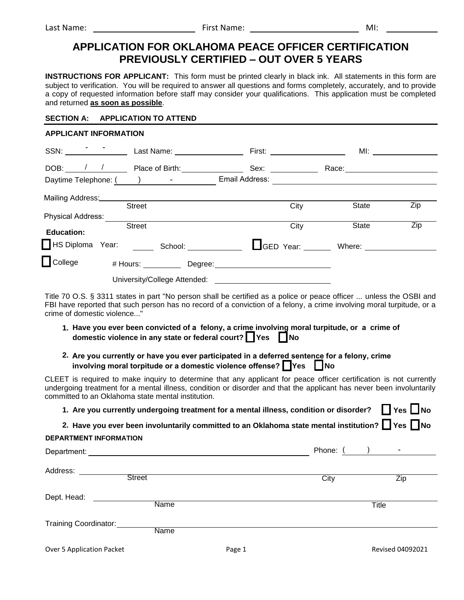# **APPLICATION FOR OKLAHOMA PEACE OFFICER CERTIFICATION PREVIOUSLY CERTIFIED – OUT OVER 5 YEARS**

**INSTRUCTIONS FOR APPLICANT:** This form must be printed clearly in black ink. All statements in this form are subject to verification. You will be required to answer all questions and forms completely, accurately, and to provide a copy of requested information before staff may consider your qualifications. This application must be completed and returned **as soon as possible**.

### **SECTION A: APPLICATION TO ATTEND**

#### **APPLICANT INFORMATION**

| $SSN:$ $\qquad \qquad$ $\qquad \qquad$       |               | Last Name: __________________         |         |                |                    |                                                   | MI: and the contract of the contract of the contract of the contract of the contract of the contract of the contract of the contract of the contract of the contract of the contract of the contract of the contract of the co |
|----------------------------------------------|---------------|---------------------------------------|---------|----------------|--------------------|---------------------------------------------------|--------------------------------------------------------------------------------------------------------------------------------------------------------------------------------------------------------------------------------|
| DOB:                                         |               | Place of Birth: <u>New York Birth</u> |         |                | Sex: _____________ | Race: _______________________                     |                                                                                                                                                                                                                                |
| Daytime Telephone: () - The Telephone: ()    |               |                                       |         | Email Address: |                    |                                                   |                                                                                                                                                                                                                                |
| Mailing Address:<br><u> Mailing</u> Address: | <b>Street</b> |                                       |         |                | City               | State                                             | Zip                                                                                                                                                                                                                            |
| <b>Physical Address:</b>                     |               |                                       |         |                |                    |                                                   |                                                                                                                                                                                                                                |
| <b>Education:</b>                            | <b>Street</b> |                                       |         |                | City               | State                                             | Zip                                                                                                                                                                                                                            |
| HS Diploma Year: School: ___________         |               |                                       |         |                |                    | <b>LGED</b> Year: _______ Where: ________________ |                                                                                                                                                                                                                                |
| $\Box$ College                               |               | # Hours: __________                   | Degree: |                |                    |                                                   |                                                                                                                                                                                                                                |
|                                              |               | University/College Attended:          |         |                |                    |                                                   |                                                                                                                                                                                                                                |

Title 70 O.S. § 3311 states in part "No person shall be certified as a police or peace officer ... unless the OSBI and FBI have reported that such person has no record of a conviction of a felony, a crime involving moral turpitude, or a crime of domestic violence..."

- **1. Have you ever been convicted of a felony, a crime involving moral turpitude, or a crime of domestic** violence in any state or federal court? Yes **No**
- **2. Are you currently or have you ever participated in a deferred sentence for a felony, crime involving moral torpitude or a domestic violence offense?** Ves | No

CLEET is required to make inquiry to determine that any applicant for peace officer certification is not currently undergoing treatment for a mental illness, condition or disorder and that the applicant has never been involuntarily committed to an Oklahoma state mental institution.

| 1. Are you currently undergoing treatment for a mental illness, condition or disorder? $\Box$ Yes $\Box$ No |  |  |
|-------------------------------------------------------------------------------------------------------------|--|--|
|-------------------------------------------------------------------------------------------------------------|--|--|

**2.** Have you ever been involuntarily committed to an Oklahoma state mental institution? **Fig. The** No

#### **DEPARTMENT INFORMATION**

| Department:               |               |        | Phone: | ۰                |
|---------------------------|---------------|--------|--------|------------------|
| Address:                  | <b>Street</b> |        | City   | Zip              |
| Dept. Head:               | Name          |        |        | Title            |
| Training Coordinator:     | <b>Name</b>   |        |        |                  |
| Over 5 Application Packet |               | Page 1 |        | Revised 04092021 |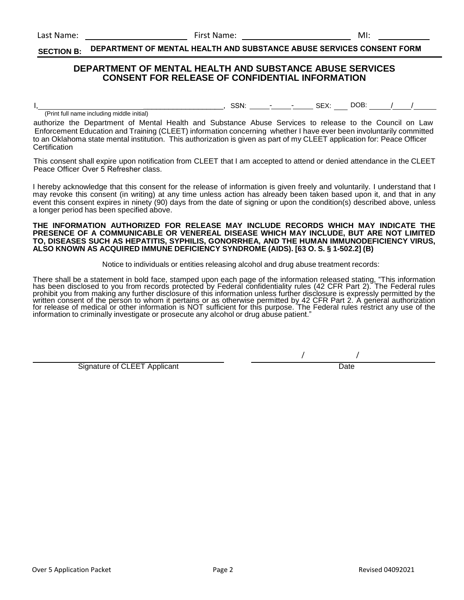Last Name: Name: The Society of Terms First Name: Name: Name MI: Name MI: Name MI: Name MI: Name MI: Name MI: N

## **SECTION B: DEPARTMENT OF MENTAL HEALTH AND SUBSTANCE ABUSE SERVICES CONSENT FORM**

### **DEPARTMENT OF MENTAL HEALTH AND SUBSTANCE ABUSE SERVICES CONSENT FOR RELEASE OF CONFIDENTIAL INFORMATION**

l<u>, </u>, SSN: <u>\_\_\_\_\_-\_\_\_\_\_\_\_\_\_\_\_\_\_\_SEX: \_\_\_\_</u> DOB: \_\_\_\_\_\_/\_\_\_\_\_/

authorize the Department of Mental Health and Substance Abuse Services to release to the Council on Law Enforcement Education and Training (CLEET) information concerning whether I have ever been involuntarily committed to an Oklahoma state mental institution. This authorization is given as part of my CLEET application for: Peace Officer **Certification** 

This consent shall expire upon notification from CLEET that I am accepted to attend or denied attendance in the CLEET Peace Officer Over 5 Refresher class.

I hereby acknowledge that this consent for the release of information is given freely and voluntarily. I understand that I may revoke this consent (in writing) at any time unless action has already been taken based upon it, and that in any event this consent expires in ninety (90) days from the date of signing or upon the condition(s) described above, unless a longer period has been specified above.

#### **THE INFORMATION AUTHORIZED FOR RELEASE MAY INCLUDE RECORDS WHICH MAY INDICATE THE PRESENCE OF A COMMUNICABLE OR VENEREAL DISEASE WHICH MAY INCLUDE, BUT ARE NOT LIMITED TO, DISEASES SUCH AS HEPATITIS, SYPHILIS, GONORRHEA, AND THE HUMAN IMMUNODEFICIENCY VIRUS, ALSO KNOWN AS ACQUIRED IMMUNE DEFICIENCY SYNDROME (AIDS). [63 O. S. § 1-502.2] (B)**

Notice to individuals or entities releasing alcohol and drug abuse treatment records:

There shall be a statement in bold face, stamped upon each page of the information released stating, "This information has been disclosed to you from records protected by Federal confidentiality rules (42 CFR Part 2). The Federal rules prohibit you from making any further disclosure of this information unless further disclosure is expressly permitted by the written consent of the person to whom it pertains or as otherwise permitted by 42 CFR Part 2. A general authorization for release of medical or other information is NOT sufficient for this purpose. The Federal rules restrict any use of the information to criminally investigate or prosecute any alcohol or drug abuse patient."

Signature of CLEET Applicant Date Date Date Date

(Print full name including middle initial)

/ /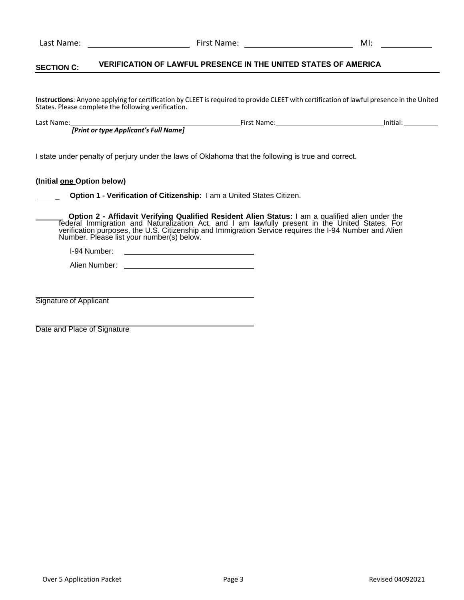#### **SECTION C: VERIFICATION OF LAWFUL PRESENCE IN THE UNITED STATES OF AMERICA**

**Instructions**: Anyone applying for certification by CLEET is required to provide CLEET with certification of lawful presence in the United States. Please complete the following verification.

| Last Name: |                                       | First Name: | Initial: |
|------------|---------------------------------------|-------------|----------|
|            | [Print or type Applicant's Full Name] |             |          |

I state under penalty of perjury under the laws of Oklahoma that the following is true and correct.

#### **(Initial one Option below)**

\_ **Option 1 - Verification of Citizenship:** I am a United States Citizen.

**Option 2 - Affidavit Verifying Qualified Resident Alien Status:** I am a qualified alien under the federal Immigration and Naturalization Act, and I am lawfully present in the United States. For verification purposes, the U.S. Citizenship and Immigration Service requires the I-94 Number and Alien Number. Please list your number(s) below.

I-94 Number:

Alien Number:

Signature of Applicant

Date and Place of Signature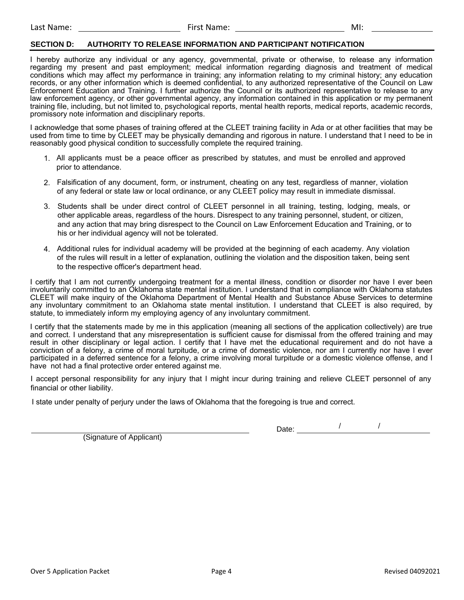#### **SECTION D: AUTHORITY TO RELEASE INFORMATION AND PARTICIPANT NOTIFICATION**

I hereby authorize any individual or any agency, governmental, private or otherwise, to release any information regarding my present and past employment; medical information regarding diagnosis and treatment of medical conditions which may affect my performance in training; any information relating to my criminal history; any education records, or any other information which is deemed confidential, to any authorized representative of the Council on Law Enforcement Education and Training. I further authorize the Council or its authorized representative to release to any law enforcement agency, or other governmental agency, any information contained in this application or my permanent training file, including, but not limited to, psychological reports, mental health reports, medical reports, academic records, promissory note information and disciplinary reports.

I acknowledge that some phases of training offered at the CLEET training facility in Ada or at other facilities that may be used from time to time by CLEET may be physically demanding and rigorous in nature. I understand that I need to be in reasonably good physical condition to successfully complete the required training.

- 1. All applicants must be a peace officer as prescribed by statutes, and must be enrolled and approved prior to attendance.
- 2. Falsification of any document, form, or instrument, cheating on any test, regardless of manner, violation of any federal or state law or local ordinance, or any CLEET policy may result in immediate dismissal.
- 3. Students shall be under direct control of CLEET personnel in all training, testing, lodging, meals, or other applicable areas, regardless of the hours. Disrespect to any training personnel, student, or citizen, and any action that may bring disrespect to the Council on Law Enforcement Education and Training, or to his or her individual agency will not be tolerated.
- 4. Additional rules for individual academy will be provided at the beginning of each academy. Any violation of the rules will result in a letter of explanation, outlining the violation and the disposition taken, being sent to the respective officer's department head.

I certify that I am not currently undergoing treatment for a mental illness, condition or disorder nor have I ever been involuntarily committed to an Oklahoma state mental institution. I understand that in compliance with Oklahoma statutes CLEET will make inquiry of the Oklahoma Department of Mental Health and Substance Abuse Services to determine any involuntary commitment to an Oklahoma state mental institution. I understand that CLEET is also required, by statute, to immediately inform my employing agency of any involuntary commitment.

I certify that the statements made by me in this application (meaning all sections of the application collectively) are true and correct. I understand that any misrepresentation is sufficient cause for dismissal from the offered training and may result in other disciplinary or legal action. I certify that I have met the educational requirement and do not have a conviction of a felony, a crime of moral turpitude, or a crime of domestic violence, nor am I currently nor have I ever participated in a deferred sentence for a felony, a crime involving moral turpitude or a domestic violence offense, and I have not had a final protective order entered against me.

I accept personal responsibility for any injury that I might incur during training and relieve CLEET personnel of any financial or other liability.

I state under penalty of perjury under the laws of Oklahoma that the foregoing is true and correct.

(Signature of Applicant)

Date: / / /